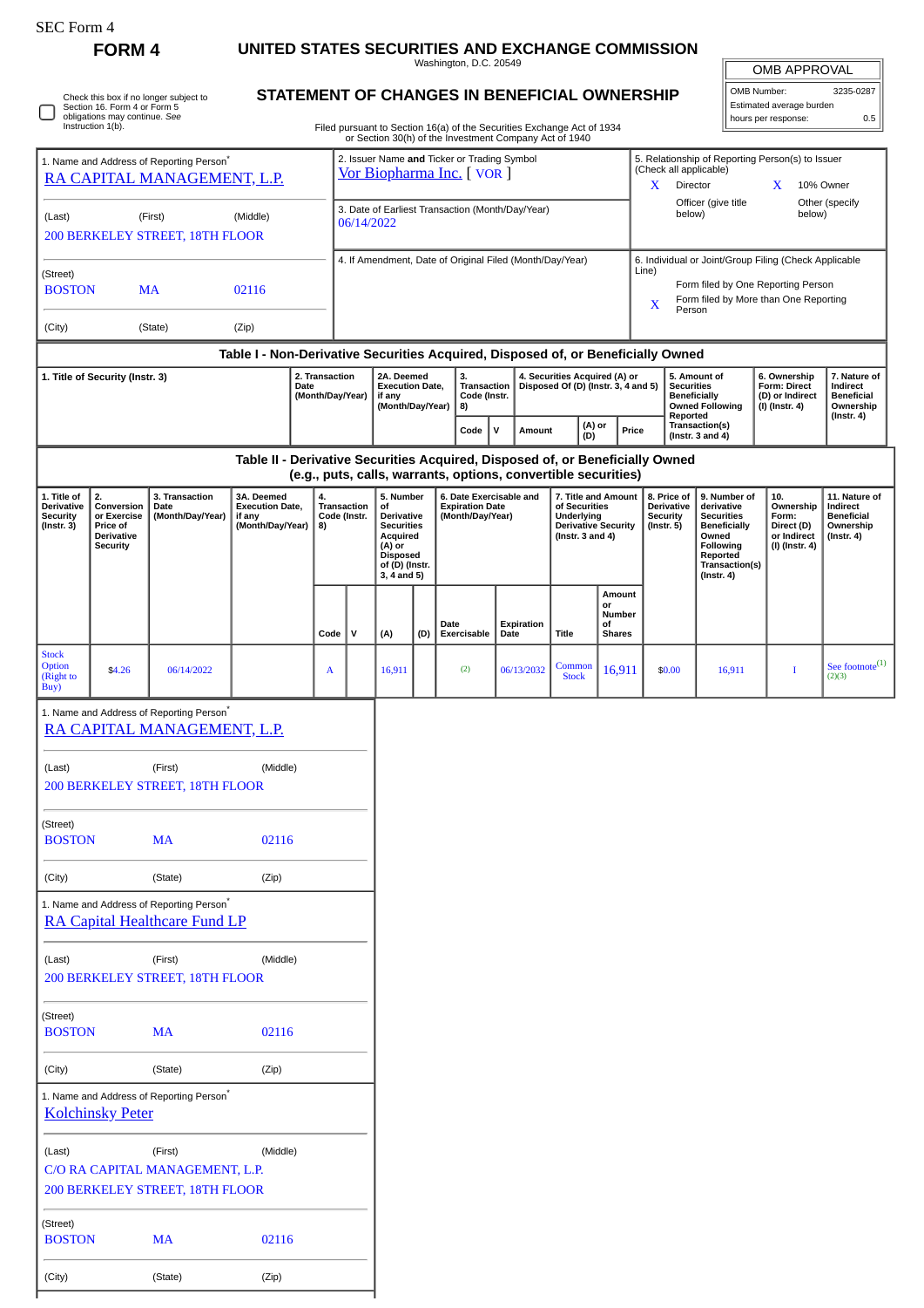| SEC Form 4                                                                          | <b>FORM4</b>                                                                                                                                                                                                        |                                                                                              |          |                                                          |                                                                                                                              |   |                                                                       |     | UNITED STATES SECURITIES AND EXCHANGE COMMISSION                                                                                                                                 |                                                                                                                                                              |            |                                                                                                                                  |                                                                                                                                         |                                                                          |                                                                                 |                                                                                |                                                                |                                 |
|-------------------------------------------------------------------------------------|---------------------------------------------------------------------------------------------------------------------------------------------------------------------------------------------------------------------|----------------------------------------------------------------------------------------------|----------|----------------------------------------------------------|------------------------------------------------------------------------------------------------------------------------------|---|-----------------------------------------------------------------------|-----|----------------------------------------------------------------------------------------------------------------------------------------------------------------------------------|--------------------------------------------------------------------------------------------------------------------------------------------------------------|------------|----------------------------------------------------------------------------------------------------------------------------------|-----------------------------------------------------------------------------------------------------------------------------------------|--------------------------------------------------------------------------|---------------------------------------------------------------------------------|--------------------------------------------------------------------------------|----------------------------------------------------------------|---------------------------------|
|                                                                                     |                                                                                                                                                                                                                     |                                                                                              |          |                                                          |                                                                                                                              |   |                                                                       |     | Washington, D.C. 20549                                                                                                                                                           |                                                                                                                                                              |            |                                                                                                                                  |                                                                                                                                         |                                                                          |                                                                                 |                                                                                | OMB APPROVAL                                                   |                                 |
|                                                                                     | Section 16. Form 4 or Form 5<br>obligations may continue. See<br>Instruction 1(b).                                                                                                                                  | Check this box if no longer subject to                                                       |          |                                                          |                                                                                                                              |   |                                                                       |     | STATEMENT OF CHANGES IN BENEFICIAL OWNERSHIP<br>Filed pursuant to Section 16(a) of the Securities Exchange Act of 1934<br>or Section 30(h) of the Investment Company Act of 1940 |                                                                                                                                                              |            |                                                                                                                                  |                                                                                                                                         |                                                                          |                                                                                 |                                                                                | OMB Number:<br>Estimated average burden<br>hours per response: | 3235-0287<br>0.5                |
| 1. Name and Address of Reporting Person <sup>®</sup><br>RA CAPITAL MANAGEMENT, L.P. |                                                                                                                                                                                                                     |                                                                                              |          |                                                          | 2. Issuer Name and Ticker or Trading Symbol<br>Vor Biopharma Inc. [VOR]                                                      |   |                                                                       |     |                                                                                                                                                                                  |                                                                                                                                                              |            | 5. Relationship of Reporting Person(s) to Issuer<br>(Check all applicable)<br><b>Director</b><br>$\mathbf{X}$<br>10% Owner<br>X. |                                                                                                                                         |                                                                          |                                                                                 |                                                                                |                                                                |                                 |
| (First)<br>(Last)<br>(Middle)<br><b>200 BERKELEY STREET, 18TH FLOOR</b>             |                                                                                                                                                                                                                     |                                                                                              |          |                                                          | 3. Date of Earliest Transaction (Month/Day/Year)<br>06/14/2022                                                               |   |                                                                       |     |                                                                                                                                                                                  |                                                                                                                                                              |            | Officer (give title<br>Other (specify<br>below)<br>below)                                                                        |                                                                                                                                         |                                                                          |                                                                                 |                                                                                |                                                                |                                 |
| (Street)<br><b>BOSTON</b><br><b>MA</b><br>02116                                     |                                                                                                                                                                                                                     |                                                                                              |          | 4. If Amendment, Date of Original Filed (Month/Day/Year) |                                                                                                                              |   |                                                                       |     |                                                                                                                                                                                  | 6. Individual or Joint/Group Filing (Check Applicable<br>Line)<br>Form filed by One Reporting Person<br>Form filed by More than One Reporting<br>x<br>Person |            |                                                                                                                                  |                                                                                                                                         |                                                                          |                                                                                 |                                                                                |                                                                |                                 |
| (City)                                                                              |                                                                                                                                                                                                                     | (State)                                                                                      | (Zip)    |                                                          |                                                                                                                              |   |                                                                       |     |                                                                                                                                                                                  |                                                                                                                                                              |            |                                                                                                                                  |                                                                                                                                         |                                                                          |                                                                                 |                                                                                |                                                                |                                 |
|                                                                                     |                                                                                                                                                                                                                     |                                                                                              |          |                                                          |                                                                                                                              |   |                                                                       |     | Table I - Non-Derivative Securities Acquired, Disposed of, or Beneficially Owned                                                                                                 |                                                                                                                                                              |            |                                                                                                                                  |                                                                                                                                         |                                                                          |                                                                                 |                                                                                |                                                                |                                 |
| 2. Transaction<br>1. Title of Security (Instr. 3)<br>Date<br>(Month/Day/Year)       |                                                                                                                                                                                                                     |                                                                                              |          |                                                          | 2A. Deemed<br><b>Execution Date,</b><br>if any<br>(Month/Day/Year)                                                           |   | 3.<br><b>Transaction</b><br>Code (Instr.<br>8)                        |     |                                                                                                                                                                                  | 4. Securities Acquired (A) or<br>Disposed Of (D) (Instr. 3, 4 and 5)                                                                                         |            |                                                                                                                                  | 5. Amount of<br><b>Securities</b><br><b>Beneficially</b><br><b>Owned Following</b><br>Reported                                          |                                                                          | 6. Ownership<br><b>Form: Direct</b><br>(D) or Indirect<br>(I) (Instr. 4)        | 7. Nature of<br>Indirect<br><b>Beneficial</b><br>Ownership<br>$($ Instr. 4 $)$ |                                                                |                                 |
|                                                                                     |                                                                                                                                                                                                                     |                                                                                              |          |                                                          |                                                                                                                              |   |                                                                       |     | Code                                                                                                                                                                             | $\mathsf{v}$                                                                                                                                                 | Amount     | (A) or<br>(D)                                                                                                                    |                                                                                                                                         | Price                                                                    |                                                                                 | Transaction(s)<br>(Instr. $3$ and $4$ )                                        |                                                                |                                 |
|                                                                                     |                                                                                                                                                                                                                     |                                                                                              |          |                                                          |                                                                                                                              |   |                                                                       |     | Table II - Derivative Securities Acquired, Disposed of, or Beneficially Owned<br>(e.g., puts, calls, warrants, options, convertible securities)                                  |                                                                                                                                                              |            |                                                                                                                                  |                                                                                                                                         |                                                                          |                                                                                 |                                                                                |                                                                |                                 |
| 1. Title of<br><b>Derivative</b><br><b>Security</b><br>$($ Instr. 3 $)$             | 2.<br>3. Transaction<br>3A. Deemed<br>4.<br>Conversion<br><b>Execution Date,</b><br>Date<br>(Month/Day/Year)<br>or Exercise<br>if any<br>(Month/Day/Year)<br>Price of<br>8)<br><b>Derivative</b><br><b>Security</b> |                                                                                              |          | <b>Transaction</b><br>Code (Instr.                       | 5. Number<br>οf<br>Derivative<br><b>Securities</b><br>Acquired<br>(A) or<br><b>Disposed</b><br>of (D) (Instr.<br>3, 4 and 5) |   | 6. Date Exercisable and<br><b>Expiration Date</b><br>(Month/Day/Year) |     | 7. Title and Amount<br>of Securities<br>Underlying<br><b>Derivative Security</b><br>(Instr. $3$ and $4$ )                                                                        |                                                                                                                                                              |            | 8. Price of<br><b>Derivative</b><br><b>Security</b><br>$($ Instr. 5 $)$                                                          | 9. Number of<br>derivative<br><b>Securities</b><br>Beneficially<br>Owned<br>Following<br>Reported<br>Transaction(s)<br>$($ Instr. 4 $)$ | 10.<br>Ownership<br>Form:<br>Direct (D)<br>or Indirect<br>(I) (Instr. 4) | 11. Nature of<br>Indirect<br><b>Beneficial</b><br>Ownership<br>$($ Instr. 4 $)$ |                                                                                |                                                                |                                 |
|                                                                                     |                                                                                                                                                                                                                     |                                                                                              |          |                                                          | Code                                                                                                                         | v | (A)                                                                   | (D) | Date<br>Exercisable                                                                                                                                                              | Date                                                                                                                                                         | Expiration | <b>Title</b>                                                                                                                     | Amount<br>or<br>Number<br>οf<br><b>Shares</b>                                                                                           |                                                                          |                                                                                 |                                                                                |                                                                |                                 |
| <b>Stock</b><br>Option<br>(Right to<br>Buy)                                         | \$4.26                                                                                                                                                                                                              | 06/14/2022                                                                                   |          |                                                          | A                                                                                                                            |   | 16,911                                                                |     | (2)                                                                                                                                                                              |                                                                                                                                                              | 06/13/2032 | Common<br><b>Stock</b>                                                                                                           | 16,911                                                                                                                                  |                                                                          | \$0.00                                                                          | 16,911                                                                         | $\bf{I}$                                                       | See footnote $^{(1)}$<br>(2)(3) |
|                                                                                     |                                                                                                                                                                                                                     | 1. Name and Address of Reporting Person <sup>*</sup><br>RA CAPITAL MANAGEMENT, L.P.          |          |                                                          |                                                                                                                              |   |                                                                       |     |                                                                                                                                                                                  |                                                                                                                                                              |            |                                                                                                                                  |                                                                                                                                         |                                                                          |                                                                                 |                                                                                |                                                                |                                 |
| (Last)                                                                              |                                                                                                                                                                                                                     | (First)<br>200 BERKELEY STREET, 18TH FLOOR                                                   | (Middle) |                                                          |                                                                                                                              |   |                                                                       |     |                                                                                                                                                                                  |                                                                                                                                                              |            |                                                                                                                                  |                                                                                                                                         |                                                                          |                                                                                 |                                                                                |                                                                |                                 |
| (Street)<br><b>BOSTON</b><br><b>MA</b><br>02116                                     |                                                                                                                                                                                                                     |                                                                                              |          |                                                          |                                                                                                                              |   |                                                                       |     |                                                                                                                                                                                  |                                                                                                                                                              |            |                                                                                                                                  |                                                                                                                                         |                                                                          |                                                                                 |                                                                                |                                                                |                                 |
| (City)                                                                              |                                                                                                                                                                                                                     | (State)                                                                                      | (Zip)    |                                                          |                                                                                                                              |   |                                                                       |     |                                                                                                                                                                                  |                                                                                                                                                              |            |                                                                                                                                  |                                                                                                                                         |                                                                          |                                                                                 |                                                                                |                                                                |                                 |
|                                                                                     |                                                                                                                                                                                                                     | 1. Name and Address of Reporting Person <sup>*</sup><br><b>RA Capital Healthcare Fund LP</b> |          |                                                          |                                                                                                                              |   |                                                                       |     |                                                                                                                                                                                  |                                                                                                                                                              |            |                                                                                                                                  |                                                                                                                                         |                                                                          |                                                                                 |                                                                                |                                                                |                                 |
| (Last)<br>(First)<br>(Middle)<br>200 BERKELEY STREET, 18TH FLOOR                    |                                                                                                                                                                                                                     |                                                                                              |          |                                                          |                                                                                                                              |   |                                                                       |     |                                                                                                                                                                                  |                                                                                                                                                              |            |                                                                                                                                  |                                                                                                                                         |                                                                          |                                                                                 |                                                                                |                                                                |                                 |
|                                                                                     |                                                                                                                                                                                                                     |                                                                                              |          |                                                          |                                                                                                                              |   |                                                                       |     |                                                                                                                                                                                  |                                                                                                                                                              |            |                                                                                                                                  |                                                                                                                                         |                                                                          |                                                                                 |                                                                                |                                                                |                                 |

| (Street)<br><b>BOSTON</b>                            | МA      | 02116    |  |  |  |  |  |  |
|------------------------------------------------------|---------|----------|--|--|--|--|--|--|
| (City)                                               | (State) | (Zip)    |  |  |  |  |  |  |
| 1. Name and Address of Reporting Person <sup>7</sup> |         |          |  |  |  |  |  |  |
| <b>Kolchinsky Peter</b>                              |         |          |  |  |  |  |  |  |
| (Last)                                               | (First) | (Middle) |  |  |  |  |  |  |
| C/O RA CAPITAL MANAGEMENT, L.P.                      |         |          |  |  |  |  |  |  |
| <b>200 BERKELEY STREET, 18TH FLOOR</b>               |         |          |  |  |  |  |  |  |
|                                                      |         |          |  |  |  |  |  |  |
| (Street)                                             |         |          |  |  |  |  |  |  |
| <b>BOSTON</b>                                        | MА      | 02116    |  |  |  |  |  |  |

(City) (State) (Zip)